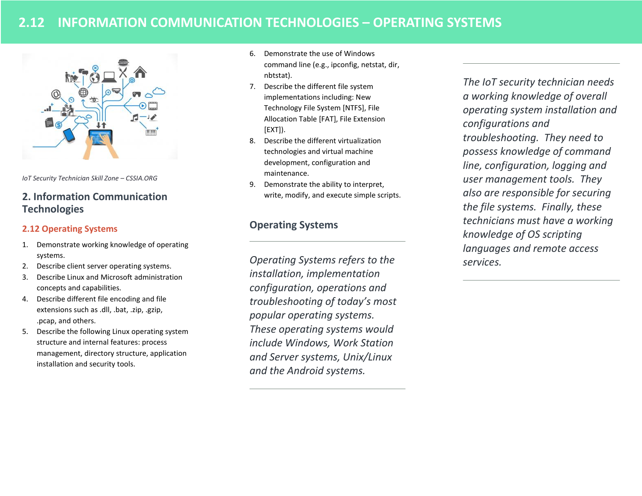# **2.12 INFORMATION COMMUNICATION TECHNOLOGIES – OPERATING SYSTEMS**



*IoT Security Technician Skill Zone – CSSIA.ORG*

## **2. Information Communication Technologies**

## **2.12 Operating Systems**

- 1. Demonstrate working knowledge of operating systems.
- 2. Describe client server operating systems.
- 3. Describe Linux and Microsoft administration concepts and capabilities.
- 4. Describe different file encoding and file extensions such as .dll, .bat, .zip, .gzip, .pcap, and others.
- 5. Describe the following Linux operating system structure and internal features: process management, directory structure, application installation and security tools.
- 6. Demonstrate the use of Windows command line (e.g., ipconfig, netstat, dir, nbtstat).
- 7. Describe the different file system implementations including: New Technology File System [NTFS], File Allocation Table [FAT], File Extension [EXT]).
- 8. Describe the different virtualization technologies and virtual machine development, configuration and maintenance.
- 9. Demonstrate the ability to interpret, write, modify, and execute simple scripts.

## **Operating Systems**

*Operating Systems refers to the installation, implementation configuration, operations and troubleshooting of today's most popular operating systems. These operating systems would include Windows, Work Station and Server systems, Unix/Linux and the Android systems.* 

*The IoT security technician needs a working knowledge of overall operating system installation and configurations and troubleshooting. They need to possess knowledge of command line, configuration, logging and user management tools. They also are responsible for securing the file systems. Finally, these technicians must have a working knowledge of OS scripting languages and remote access services.*